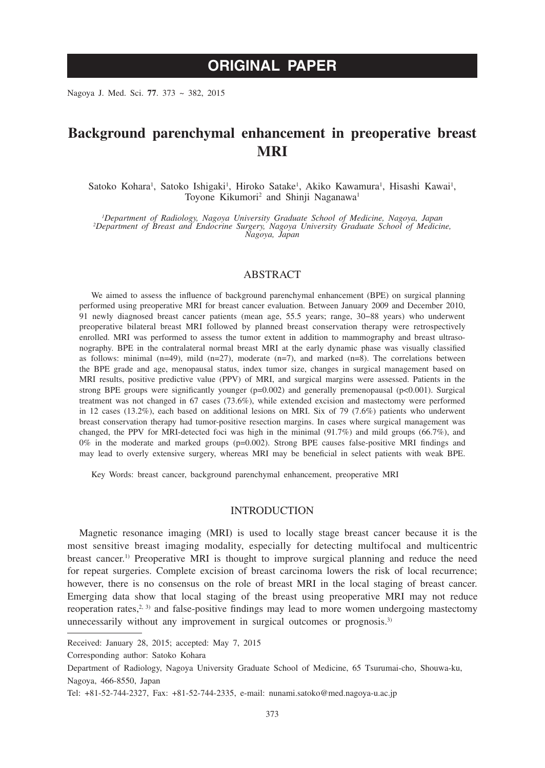# **ORIGINAL PAPER**

Nagoya J. Med. Sci. **77**. 373 ~ 382, 2015

## **Background parenchymal enhancement in preoperative breast MRI**

Satoko Kohara<sup>1</sup>, Satoko Ishigaki<sup>1</sup>, Hiroko Satake<sup>1</sup>, Akiko Kawamura<sup>1</sup>, Hisashi Kawai<sup>1</sup>, Toyone Kikumori<sup>2</sup> and Shinji Naganawa<sup>1</sup>

*1 Department of Radiology, Nagoya University Graduate School of Medicine, Nagoya, Japan <sup>2</sup> Department of Breast and Endocrine Surgery, Nagoya University Graduate School of Medicine, Nagoya, Japan*

## ABSTRACT

We aimed to assess the influence of background parenchymal enhancement (BPE) on surgical planning performed using preoperative MRI for breast cancer evaluation. Between January 2009 and December 2010, 91 newly diagnosed breast cancer patients (mean age, 55.5 years; range, 30−88 years) who underwent preoperative bilateral breast MRI followed by planned breast conservation therapy were retrospectively enrolled. MRI was performed to assess the tumor extent in addition to mammography and breast ultrasonography. BPE in the contralateral normal breast MRI at the early dynamic phase was visually classified as follows: minimal  $(n=49)$ , mild  $(n=27)$ , moderate  $(n=7)$ , and marked  $(n=8)$ . The correlations between the BPE grade and age, menopausal status, index tumor size, changes in surgical management based on MRI results, positive predictive value (PPV) of MRI, and surgical margins were assessed. Patients in the strong BPE groups were significantly younger  $(p=0.002)$  and generally premenopausal  $(p<0.001)$ . Surgical treatment was not changed in 67 cases (73.6%), while extended excision and mastectomy were performed in 12 cases (13.2%), each based on additional lesions on MRI. Six of 79 (7.6%) patients who underwent breast conservation therapy had tumor-positive resection margins. In cases where surgical management was changed, the PPV for MRI-detected foci was high in the minimal (91.7%) and mild groups (66.7%), and  $0\%$  in the moderate and marked groups (p=0.002). Strong BPE causes false-positive MRI findings and may lead to overly extensive surgery, whereas MRI may be beneficial in select patients with weak BPE.

Key Words: breast cancer, background parenchymal enhancement, preoperative MRI

## INTRODUCTION

Magnetic resonance imaging (MRI) is used to locally stage breast cancer because it is the most sensitive breast imaging modality, especially for detecting multifocal and multicentric breast cancer.1) Preoperative MRI is thought to improve surgical planning and reduce the need for repeat surgeries. Complete excision of breast carcinoma lowers the risk of local recurrence; however, there is no consensus on the role of breast MRI in the local staging of breast cancer. Emerging data show that local staging of the breast using preoperative MRI may not reduce reoperation rates, $2, 3$  and false-positive findings may lead to more women undergoing mastectomy unnecessarily without any improvement in surgical outcomes or prognosis.<sup>3)</sup>

Received: January 28, 2015; accepted: May 7, 2015

Corresponding author: Satoko Kohara

Department of Radiology, Nagoya University Graduate School of Medicine, 65 Tsurumai-cho, Shouwa-ku, Nagoya, 466-8550, Japan

Tel: +81-52-744-2327, Fax: +81-52-744-2335, e-mail: nunami.satoko@med.nagoya-u.ac.jp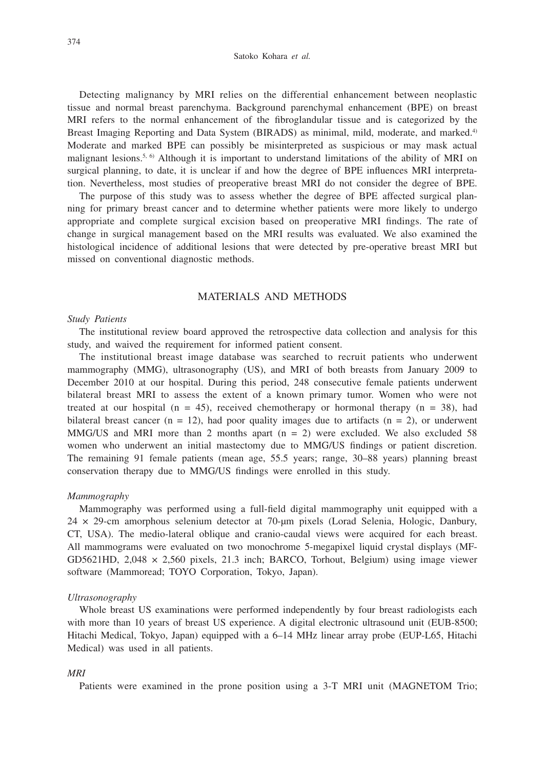Detecting malignancy by MRI relies on the differential enhancement between neoplastic tissue and normal breast parenchyma. Background parenchymal enhancement (BPE) on breast MRI refers to the normal enhancement of the fibroglandular tissue and is categorized by the Breast Imaging Reporting and Data System (BIRADS) as minimal, mild, moderate, and marked.<sup>4)</sup> Moderate and marked BPE can possibly be misinterpreted as suspicious or may mask actual malignant lesions.<sup>5, 6)</sup> Although it is important to understand limitations of the ability of MRI on surgical planning, to date, it is unclear if and how the degree of BPE influences MRI interpretation. Nevertheless, most studies of preoperative breast MRI do not consider the degree of BPE.

The purpose of this study was to assess whether the degree of BPE affected surgical planning for primary breast cancer and to determine whether patients were more likely to undergo appropriate and complete surgical excision based on preoperative MRI findings. The rate of change in surgical management based on the MRI results was evaluated. We also examined the histological incidence of additional lesions that were detected by pre-operative breast MRI but missed on conventional diagnostic methods.

## MATERIALS AND METHODS

#### *Study Patients*

The institutional review board approved the retrospective data collection and analysis for this study, and waived the requirement for informed patient consent.

The institutional breast image database was searched to recruit patients who underwent mammography (MMG), ultrasonography (US), and MRI of both breasts from January 2009 to December 2010 at our hospital. During this period, 248 consecutive female patients underwent bilateral breast MRI to assess the extent of a known primary tumor. Women who were not treated at our hospital ( $n = 45$ ), received chemotherapy or hormonal therapy ( $n = 38$ ), had bilateral breast cancer ( $n = 12$ ), had poor quality images due to artifacts ( $n = 2$ ), or underwent MMG/US and MRI more than 2 months apart  $(n = 2)$  were excluded. We also excluded 58 women who underwent an initial mastectomy due to MMG/US findings or patient discretion. The remaining 91 female patients (mean age, 55.5 years; range, 30–88 years) planning breast conservation therapy due to MMG/US findings were enrolled in this study.

#### *Mammography*

Mammography was performed using a full-field digital mammography unit equipped with a 24 × 29-cm amorphous selenium detector at 70-μm pixels (Lorad Selenia, Hologic, Danbury, CT, USA). The medio-lateral oblique and cranio-caudal views were acquired for each breast. All mammograms were evaluated on two monochrome 5-megapixel liquid crystal displays (MF-GD5621HD,  $2,048 \times 2,560$  pixels,  $21.3$  inch; BARCO, Torhout, Belgium) using image viewer software (Mammoread; TOYO Corporation, Tokyo, Japan).

### *Ultrasonography*

Whole breast US examinations were performed independently by four breast radiologists each with more than 10 years of breast US experience. A digital electronic ultrasound unit (EUB-8500; Hitachi Medical, Tokyo, Japan) equipped with a 6–14 MHz linear array probe (EUP-L65, Hitachi Medical) was used in all patients.

#### *MRI*

Patients were examined in the prone position using a 3-T MRI unit (MAGNETOM Trio;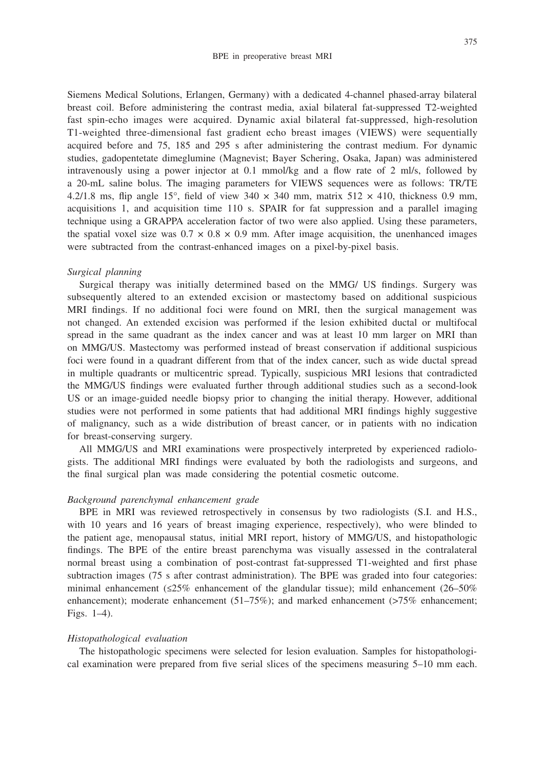Siemens Medical Solutions, Erlangen, Germany) with a dedicated 4-channel phased-array bilateral breast coil. Before administering the contrast media, axial bilateral fat-suppressed T2-weighted fast spin-echo images were acquired. Dynamic axial bilateral fat-suppressed, high-resolution T1-weighted three-dimensional fast gradient echo breast images (VIEWS) were sequentially acquired before and 75, 185 and 295 s after administering the contrast medium. For dynamic studies, gadopentetate dimeglumine (Magnevist; Bayer Schering, Osaka, Japan) was administered intravenously using a power injector at 0.1 mmol/kg and a flow rate of 2 ml/s, followed by a 20-mL saline bolus. The imaging parameters for VIEWS sequences were as follows: TR/TE 4.2/1.8 ms, flip angle 15°, field of view 340  $\times$  340 mm, matrix 512  $\times$  410, thickness 0.9 mm, acquisitions 1, and acquisition time 110 s. SPAIR for fat suppression and a parallel imaging technique using a GRAPPA acceleration factor of two were also applied. Using these parameters, the spatial voxel size was  $0.7 \times 0.8 \times 0.9$  mm. After image acquisition, the unenhanced images were subtracted from the contrast-enhanced images on a pixel-by-pixel basis.

#### *Surgical planning*

Surgical therapy was initially determined based on the MMG/ US findings. Surgery was subsequently altered to an extended excision or mastectomy based on additional suspicious MRI findings. If no additional foci were found on MRI, then the surgical management was not changed. An extended excision was performed if the lesion exhibited ductal or multifocal spread in the same quadrant as the index cancer and was at least 10 mm larger on MRI than on MMG/US. Mastectomy was performed instead of breast conservation if additional suspicious foci were found in a quadrant different from that of the index cancer, such as wide ductal spread in multiple quadrants or multicentric spread. Typically, suspicious MRI lesions that contradicted the MMG/US findings were evaluated further through additional studies such as a second-look US or an image-guided needle biopsy prior to changing the initial therapy. However, additional studies were not performed in some patients that had additional MRI findings highly suggestive of malignancy, such as a wide distribution of breast cancer, or in patients with no indication for breast-conserving surgery.

All MMG/US and MRI examinations were prospectively interpreted by experienced radiologists. The additional MRI findings were evaluated by both the radiologists and surgeons, and the final surgical plan was made considering the potential cosmetic outcome.

## *Background parenchymal enhancement grade*

BPE in MRI was reviewed retrospectively in consensus by two radiologists (S.I. and H.S., with 10 years and 16 years of breast imaging experience, respectively), who were blinded to the patient age, menopausal status, initial MRI report, history of MMG/US, and histopathologic findings. The BPE of the entire breast parenchyma was visually assessed in the contralateral normal breast using a combination of post-contrast fat-suppressed T1-weighted and first phase subtraction images (75 s after contrast administration). The BPE was graded into four categories: minimal enhancement ( $\leq 25\%$  enhancement of the glandular tissue); mild enhancement (26–50%) enhancement); moderate enhancement  $(51–75%)$ ; and marked enhancement (>75% enhancement; Figs. 1–4).

#### *Histopathological evaluation*

The histopathologic specimens were selected for lesion evaluation. Samples for histopathological examination were prepared from five serial slices of the specimens measuring 5–10 mm each.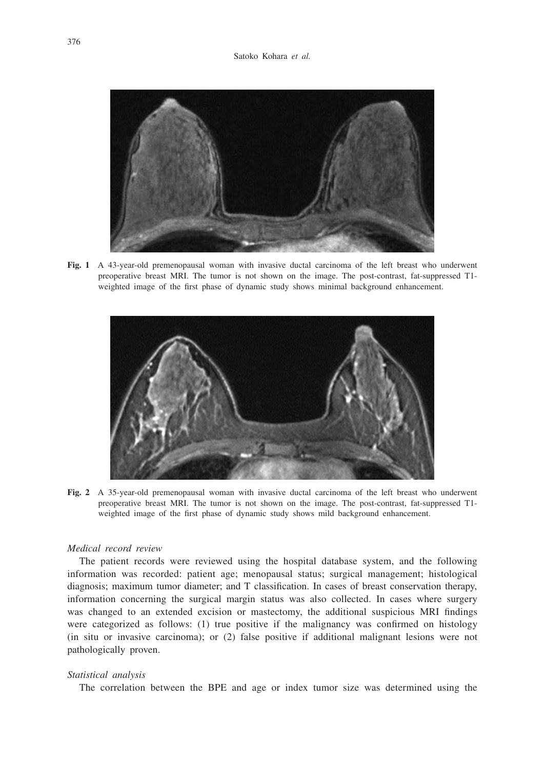

**Fig. 1** A 43-year-old premenopausal woman with invasive ductal carcinoma of the left breast who underwent preoperative breast MRI. The tumor is not shown on the image. The post-contrast, fat-suppressed T1 weighted image of the first phase of dynamic study shows minimal background enhancement.



**Fig. 2** A 35-year-old premenopausal woman with invasive ductal carcinoma of the left breast who underwent preoperative breast MRI. The tumor is not shown on the image. The post-contrast, fat-suppressed T1 weighted image of the first phase of dynamic study shows mild background enhancement.

#### *Medical record review*

The patient records were reviewed using the hospital database system, and the following information was recorded: patient age; menopausal status; surgical management; histological diagnosis; maximum tumor diameter; and T classification. In cases of breast conservation therapy, information concerning the surgical margin status was also collected. In cases where surgery was changed to an extended excision or mastectomy, the additional suspicious MRI findings were categorized as follows: (1) true positive if the malignancy was confirmed on histology (in situ or invasive carcinoma); or (2) false positive if additional malignant lesions were not pathologically proven.

#### *Statistical analysis*

The correlation between the BPE and age or index tumor size was determined using the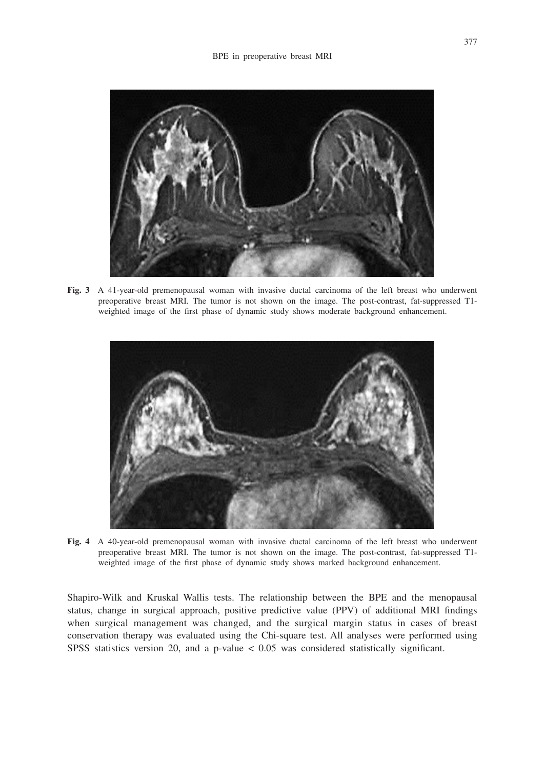

**Fig. 3** A 41-year-old premenopausal woman with invasive ductal carcinoma of the left breast who underwent preoperative breast MRI. The tumor is not shown on the image. The post-contrast, fat-suppressed T1 weighted image of the first phase of dynamic study shows moderate background enhancement.



**Fig. 4** A 40-year-old premenopausal woman with invasive ductal carcinoma of the left breast who underwent preoperative breast MRI. The tumor is not shown on the image. The post-contrast, fat-suppressed T1 weighted image of the first phase of dynamic study shows marked background enhancement.

Shapiro-Wilk and Kruskal Wallis tests. The relationship between the BPE and the menopausal status, change in surgical approach, positive predictive value (PPV) of additional MRI findings when surgical management was changed, and the surgical margin status in cases of breast conservation therapy was evaluated using the Chi-square test. All analyses were performed using SPSS statistics version 20, and a p-value < 0.05 was considered statistically significant.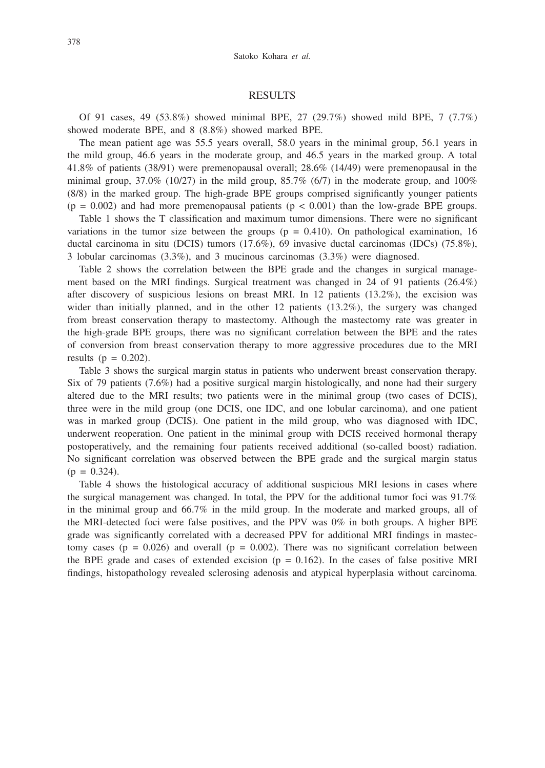#### RESULTS

Of 91 cases, 49 (53.8%) showed minimal BPE, 27 (29.7%) showed mild BPE, 7 (7.7%) showed moderate BPE, and 8 (8.8%) showed marked BPE.

The mean patient age was 55.5 years overall, 58.0 years in the minimal group, 56.1 years in the mild group, 46.6 years in the moderate group, and 46.5 years in the marked group. A total 41.8% of patients (38/91) were premenopausal overall; 28.6% (14/49) were premenopausal in the minimal group, 37.0% (10/27) in the mild group, 85.7% (6/7) in the moderate group, and 100% (8/8) in the marked group. The high-grade BPE groups comprised significantly younger patients  $(p = 0.002)$  and had more premenopausal patients  $(p < 0.001)$  than the low-grade BPE groups.

Table 1 shows the T classification and maximum tumor dimensions. There were no significant variations in the tumor size between the groups ( $p = 0.410$ ). On pathological examination, 16 ductal carcinoma in situ (DCIS) tumors (17.6%), 69 invasive ductal carcinomas (IDCs) (75.8%), 3 lobular carcinomas (3.3%), and 3 mucinous carcinomas (3.3%) were diagnosed.

Table 2 shows the correlation between the BPE grade and the changes in surgical management based on the MRI findings. Surgical treatment was changed in 24 of 91 patients (26.4%) after discovery of suspicious lesions on breast MRI. In 12 patients (13.2%), the excision was wider than initially planned, and in the other 12 patients (13.2%), the surgery was changed from breast conservation therapy to mastectomy. Although the mastectomy rate was greater in the high-grade BPE groups, there was no significant correlation between the BPE and the rates of conversion from breast conservation therapy to more aggressive procedures due to the MRI results ( $p = 0.202$ ).

Table 3 shows the surgical margin status in patients who underwent breast conservation therapy. Six of 79 patients (7.6%) had a positive surgical margin histologically, and none had their surgery altered due to the MRI results; two patients were in the minimal group (two cases of DCIS), three were in the mild group (one DCIS, one IDC, and one lobular carcinoma), and one patient was in marked group (DCIS). One patient in the mild group, who was diagnosed with IDC, underwent reoperation. One patient in the minimal group with DCIS received hormonal therapy postoperatively, and the remaining four patients received additional (so-called boost) radiation. No significant correlation was observed between the BPE grade and the surgical margin status  $(p = 0.324)$ .

Table 4 shows the histological accuracy of additional suspicious MRI lesions in cases where the surgical management was changed. In total, the PPV for the additional tumor foci was 91.7% in the minimal group and 66.7% in the mild group. In the moderate and marked groups, all of the MRI-detected foci were false positives, and the PPV was 0% in both groups. A higher BPE grade was significantly correlated with a decreased PPV for additional MRI findings in mastectomy cases ( $p = 0.026$ ) and overall ( $p = 0.002$ ). There was no significant correlation between the BPE grade and cases of extended excision ( $p = 0.162$ ). In the cases of false positive MRI findings, histopathology revealed sclerosing adenosis and atypical hyperplasia without carcinoma.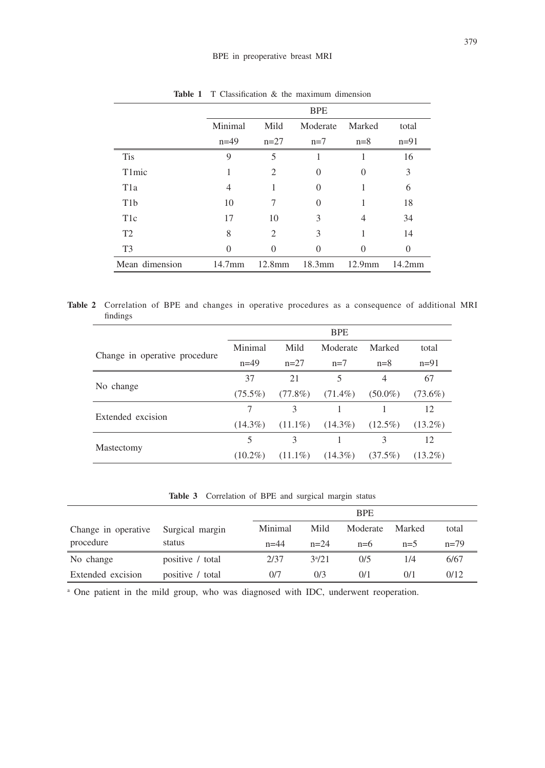|                  | <b>BPE</b>                            |                |           |           |          |  |
|------------------|---------------------------------------|----------------|-----------|-----------|----------|--|
|                  | Mild<br>Minimal<br>Moderate<br>Marked |                | total     |           |          |  |
|                  | $n=49$                                | $n=27$         | $n=7$     | $n=8$     | $n=91$   |  |
| <b>Tis</b>       | 9                                     | 5              | 1         |           | 16       |  |
| T1mic            |                                       | 2              | 0         | $\Omega$  | 3        |  |
| T <sub>1</sub> a | 4                                     |                | 0         |           | 6        |  |
| T <sub>1</sub> b | 10                                    | 7              | $\theta$  |           | 18       |  |
| T <sub>1</sub> c | 17                                    | 10             | 3         | 4         | 34       |  |
| T2               | 8                                     | $\overline{c}$ | 3         |           | 14       |  |
| T <sub>3</sub>   | 0                                     | $\Omega$       | 0         |           | $\Omega$ |  |
| Mean dimension   | $14.7$ mm                             | $12.8$ mm      | $18.3$ mm | $12.9$ mm | 14.2mm   |  |

**Table 1** T Classification & the maximum dimension

**Table 2** Correlation of BPE and changes in operative procedures as a consequence of additional MRI findings

|                               |            |            | <b>BPE</b> |                |            |
|-------------------------------|------------|------------|------------|----------------|------------|
|                               | Minimal    | Mild       | Moderate   | Marked         | total      |
| Change in operative procedure | $n=49$     | $n=27$     | $n=7$      | $n=8$          | $n=91$     |
|                               | 37         | 21         | 5          | $\overline{4}$ | 67         |
| No change                     | $(75.5\%)$ | $(77.8\%)$ | $(71.4\%)$ | $(50.0\%)$     | $(73.6\%)$ |
| Extended excision             |            | 3          |            |                | 12         |
|                               | $(14.3\%)$ | $(11.1\%)$ | $(14.3\%)$ | $(12.5\%)$     | $(13.2\%)$ |
|                               | 5          | 3          |            | 3              | 12         |
| Mastectomy                    | $(10.2\%)$ | $(11.1\%)$ | $(14.3\%)$ | $(37.5\%)$     | $(13.2\%)$ |

**Table 3** Correlation of BPE and surgical margin status

|                     |                  | <b>BPE</b> |            |          |        |        |
|---------------------|------------------|------------|------------|----------|--------|--------|
| Change in operative | Surgical margin  | Minimal    | Mild       | Moderate | Marked | total  |
| procedure           | status           | $n = 44$   | $n=24$     | $n=6$    | $n=5$  | $n=79$ |
| No change           | positive / total | 2/37       | $3^{a}/21$ | 0/5      | 1/4    | 6/67   |
| Extended excision   | positive / total | 0/7        | 0/3        | 0/1      | 0/1    | 0/12   |

a One patient in the mild group, who was diagnosed with IDC, underwent reoperation.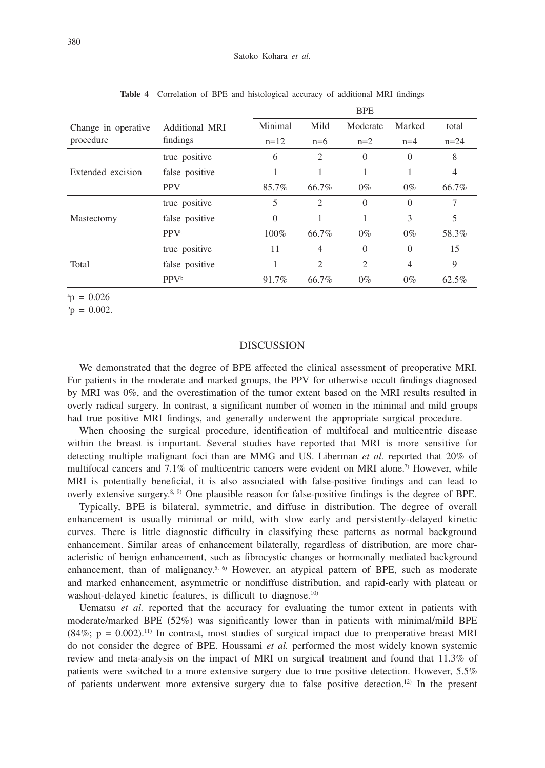|                     |                         | <b>BPE</b> |       |          |                |        |
|---------------------|-------------------------|------------|-------|----------|----------------|--------|
| Change in operative | <b>Additional MRI</b>   | Minimal    | Mild  | Moderate | Marked         | total  |
| procedure           | findings                | $n=12$     | $n=6$ | $n=2$    | $n=4$          | $n=24$ |
|                     | true positive           | 6          | 2     | $\Omega$ | $\Omega$       | 8      |
| Extended excision   | false positive          |            |       | 1        |                | 4      |
|                     | <b>PPV</b>              | 85.7%      | 66.7% | $0\%$    | $0\%$          | 66.7%  |
|                     | true positive           | 5          | 2     | $\theta$ | $\theta$       | 7      |
| Mastectomy          | false positive          | $\Omega$   | 1     | 1        | 3              | 5      |
|                     | <b>PPV</b> <sup>a</sup> | 100%       | 66.7% | $0\%$    | $0\%$          | 58.3%  |
|                     | true positive           | 11         | 4     | $\Omega$ | $\theta$       | 15     |
| Total               | false positive          |            | 2     | 2        | $\overline{4}$ | 9      |
|                     | <b>PPV</b> <sup>b</sup> | 91.7%      | 66.7% | $0\%$    | $0\%$          | 62.5%  |

**Table 4** Correlation of BPE and histological accuracy of additional MRI findings

 $ap = 0.026$ 

 $^{\rm b}$ p = 0.002.

## DISCUSSION

We demonstrated that the degree of BPE affected the clinical assessment of preoperative MRI. For patients in the moderate and marked groups, the PPV for otherwise occult findings diagnosed by MRI was 0%, and the overestimation of the tumor extent based on the MRI results resulted in overly radical surgery. In contrast, a significant number of women in the minimal and mild groups had true positive MRI findings, and generally underwent the appropriate surgical procedure.

When choosing the surgical procedure, identification of multifocal and multicentric disease within the breast is important. Several studies have reported that MRI is more sensitive for detecting multiple malignant foci than are MMG and US. Liberman *et al.* reported that 20% of multifocal cancers and  $7.1\%$  of multicentric cancers were evident on MRI alone.<sup>7</sup> However, while MRI is potentially beneficial, it is also associated with false-positive findings and can lead to overly extensive surgery.8, 9) One plausible reason for false-positive findings is the degree of BPE.

Typically, BPE is bilateral, symmetric, and diffuse in distribution. The degree of overall enhancement is usually minimal or mild, with slow early and persistently-delayed kinetic curves. There is little diagnostic difficulty in classifying these patterns as normal background enhancement. Similar areas of enhancement bilaterally, regardless of distribution, are more characteristic of benign enhancement, such as fibrocystic changes or hormonally mediated background enhancement, than of malignancy.<sup>5, 6</sup> However, an atypical pattern of BPE, such as moderate and marked enhancement, asymmetric or nondiffuse distribution, and rapid-early with plateau or washout-delayed kinetic features, is difficult to diagnose.<sup>10)</sup>

Uematsu *et al.* reported that the accuracy for evaluating the tumor extent in patients with moderate/marked BPE (52%) was significantly lower than in patients with minimal/mild BPE  $(84\%; p = 0.002)$ .<sup>11)</sup> In contrast, most studies of surgical impact due to preoperative breast MRI do not consider the degree of BPE. Houssami *et al.* performed the most widely known systemic review and meta-analysis on the impact of MRI on surgical treatment and found that 11.3% of patients were switched to a more extensive surgery due to true positive detection. However, 5.5% of patients underwent more extensive surgery due to false positive detection.12) In the present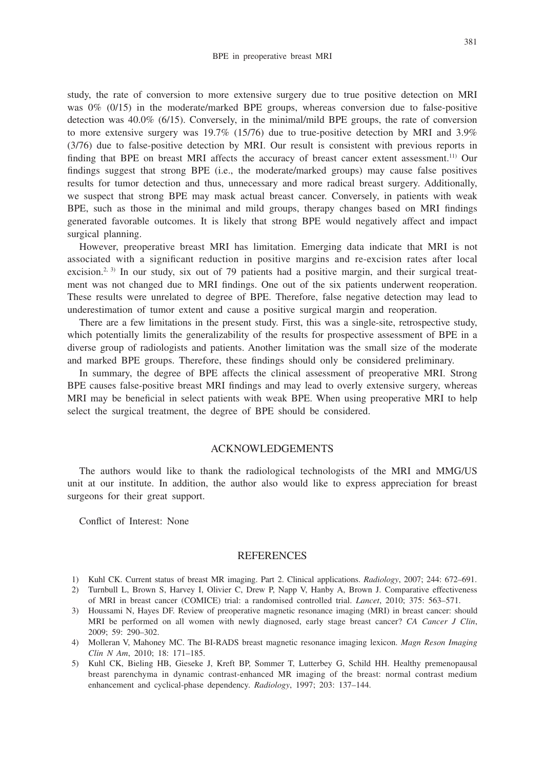study, the rate of conversion to more extensive surgery due to true positive detection on MRI was 0% (0/15) in the moderate/marked BPE groups, whereas conversion due to false-positive detection was 40.0% (6/15). Conversely, in the minimal/mild BPE groups, the rate of conversion to more extensive surgery was 19.7% (15/76) due to true-positive detection by MRI and 3.9% (3/76) due to false-positive detection by MRI. Our result is consistent with previous reports in finding that BPE on breast MRI affects the accuracy of breast cancer extent assessment.11) Our findings suggest that strong BPE (i.e., the moderate/marked groups) may cause false positives results for tumor detection and thus, unnecessary and more radical breast surgery. Additionally, we suspect that strong BPE may mask actual breast cancer. Conversely, in patients with weak BPE, such as those in the minimal and mild groups, therapy changes based on MRI findings generated favorable outcomes. It is likely that strong BPE would negatively affect and impact surgical planning.

However, preoperative breast MRI has limitation. Emerging data indicate that MRI is not associated with a significant reduction in positive margins and re-excision rates after local excision.<sup>2, 3)</sup> In our study, six out of 79 patients had a positive margin, and their surgical treatment was not changed due to MRI findings. One out of the six patients underwent reoperation. These results were unrelated to degree of BPE. Therefore, false negative detection may lead to underestimation of tumor extent and cause a positive surgical margin and reoperation.

There are a few limitations in the present study. First, this was a single-site, retrospective study, which potentially limits the generalizability of the results for prospective assessment of BPE in a diverse group of radiologists and patients. Another limitation was the small size of the moderate and marked BPE groups. Therefore, these findings should only be considered preliminary.

In summary, the degree of BPE affects the clinical assessment of preoperative MRI. Strong BPE causes false-positive breast MRI findings and may lead to overly extensive surgery, whereas MRI may be beneficial in select patients with weak BPE. When using preoperative MRI to help select the surgical treatment, the degree of BPE should be considered.

#### ACKNOWLEDGEMENTS

The authors would like to thank the radiological technologists of the MRI and MMG/US unit at our institute. In addition, the author also would like to express appreciation for breast surgeons for their great support.

Conflict of Interest: None

#### REFERENCES

- 1) Kuhl CK. Current status of breast MR imaging. Part 2. Clinical applications. *Radiology*, 2007; 244: 672–691.
- 2) Turnbull L, Brown S, Harvey I, Olivier C, Drew P, Napp V, Hanby A, Brown J. Comparative effectiveness of MRI in breast cancer (COMICE) trial: a randomised controlled trial. *Lancet*, 2010; 375: 563–571.
- 3) Houssami N, Hayes DF. Review of preoperative magnetic resonance imaging (MRI) in breast cancer: should MRI be performed on all women with newly diagnosed, early stage breast cancer? *CA Cancer J Clin*, 2009; 59: 290–302.
- 4) Molleran V, Mahoney MC. The BI-RADS breast magnetic resonance imaging lexicon. *Magn Reson Imaging Clin N Am*, 2010; 18: 171–185.
- 5) Kuhl CK, Bieling HB, Gieseke J, Kreft BP, Sommer T, Lutterbey G, Schild HH. Healthy premenopausal breast parenchyma in dynamic contrast-enhanced MR imaging of the breast: normal contrast medium enhancement and cyclical-phase dependency. *Radiology*, 1997; 203: 137–144.